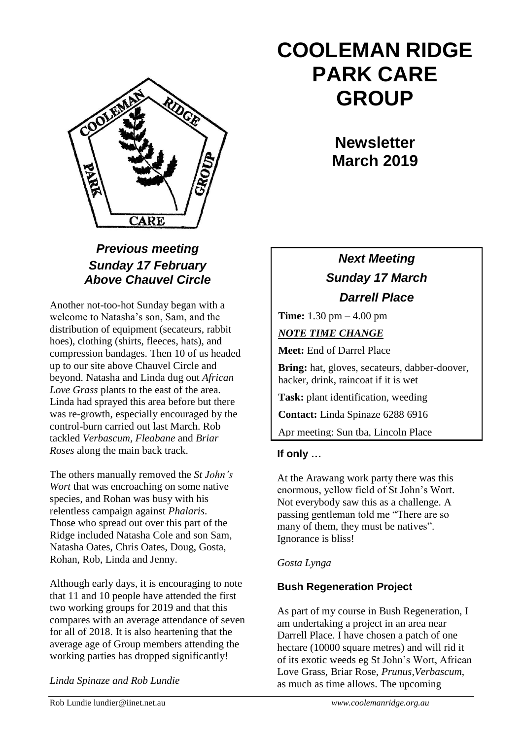

## *Previous meeting Sunday 17 February Above Chauvel Circle*

Another not-too-hot Sunday began with a welcome to Natasha's son, Sam, and the distribution of equipment (secateurs, rabbit hoes), clothing (shirts, fleeces, hats), and compression bandages. Then 10 of us headed up to our site above Chauvel Circle and beyond. Natasha and Linda dug out *African Love Grass* plants to the east of the area. Linda had sprayed this area before but there was re-growth, especially encouraged by the control-burn carried out last March. Rob tackled *Verbascum, Fleabane* and *Briar Roses* along the main back track.

The others manually removed the *St John's Wort* that was encroaching on some native species, and Rohan was busy with his relentless campaign against *Phalaris*. Those who spread out over this part of the Ridge included Natasha Cole and son Sam, Natasha Oates, Chris Oates, Doug, Gosta, Rohan, Rob, Linda and Jenny.

Although early days, it is encouraging to note that 11 and 10 people have attended the first two working groups for 2019 and that this compares with an average attendance of seven for all of 2018. It is also heartening that the average age of Group members attending the working parties has dropped significantly!

*Linda Spinaze and Rob Lundie*

# **COOLEMAN RIDGE PARK CARE GROUP**

**Newsletter March 2019** 

# *Next Meeting Sunday 17 March Darrell Place*

**Time:** 1.30 pm – 4.00 pm

*NOTE TIME CHANGE*

**Meet:** End of Darrel Place

**Bring:** hat, gloves, secateurs, dabber-doover, hacker, drink, raincoat if it is wet

**Task:** plant identification, weeding

**Contact:** Linda Spinaze 6288 6916

Apr meeting: Sun tba, Lincoln Place

## **If only …**

At the Arawang work party there was this enormous, yellow field of St John's Wort. Not everybody saw this as a challenge. A passing gentleman told me "There are so many of them, they must be natives". Ignorance is bliss!

## *Gosta Lynga*

## **Bush Regeneration Project**

As part of my course in Bush Regeneration, I am undertaking a project in an area near Darrell Place. I have chosen a patch of one hectare (10000 square metres) and will rid it of its exotic weeds eg St John's Wort, African Love Grass, Briar Rose, *Prunus*,*Verbascum*, as much as time allows. The upcoming